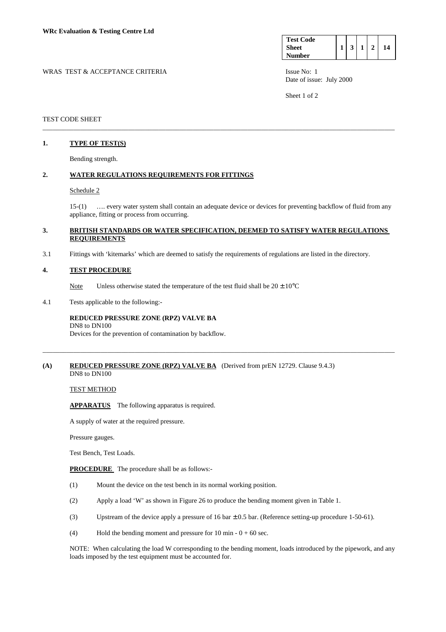| <b>Test Code</b> |  |  |    |
|------------------|--|--|----|
| <b>Sheet</b>     |  |  | '4 |
| <b>Number</b>    |  |  |    |

Date of issue: July 2000

Sheet 1 of 2

### TEST CODE SHEET

## **1. TYPE OF TEST(S)**

Bending strength.

## **2. WATER REGULATIONS REQUIREMENTS FOR FITTINGS**

#### Schedule 2

 15-(1) …. every water system shall contain an adequate device or devices for preventing backflow of fluid from any appliance, fitting or process from occurring.

### **3. BRITISH STANDARDS OR WATER SPECIFICATION, DEEMED TO SATISFY WATER REGULATIONS REQUIREMENTS**

\_\_\_\_\_\_\_\_\_\_\_\_\_\_\_\_\_\_\_\_\_\_\_\_\_\_\_\_\_\_\_\_\_\_\_\_\_\_\_\_\_\_\_\_\_\_\_\_\_\_\_\_\_\_\_\_\_\_\_\_\_\_\_\_\_\_\_\_\_\_\_\_\_\_\_\_\_\_\_\_\_\_\_\_\_\_\_\_\_\_\_\_\_\_\_\_\_\_\_\_\_\_\_

\_\_\_\_\_\_\_\_\_\_\_\_\_\_\_\_\_\_\_\_\_\_\_\_\_\_\_\_\_\_\_\_\_\_\_\_\_\_\_\_\_\_\_\_\_\_\_\_\_\_\_\_\_\_\_\_\_\_\_\_\_\_\_\_\_\_\_\_\_\_\_\_\_\_\_\_\_\_\_\_\_\_\_\_\_\_\_\_\_\_\_\_\_\_\_\_\_\_\_\_\_\_\_

3.1 Fittings with 'kitemarks' which are deemed to satisfy the requirements of regulations are listed in the directory.

### **4. TEST PROCEDURE**

Note Unless otherwise stated the temperature of the test fluid shall be  $20 \pm 10^{\circ}$ C

4.1 Tests applicable to the following:-

#### **REDUCED PRESSURE ZONE (RPZ) VALVE BA**  DN8 to DN100

Devices for the prevention of contamination by backflow.

#### **(A) REDUCED PRESSURE ZONE (RPZ) VALVE BA** (Derived from prEN 12729. Clause 9.4.3) DN8 to DN100

# TEST METHOD

**APPARATUS** The following apparatus is required.

A supply of water at the required pressure.

Pressure gauges.

Test Bench, Test Loads.

**PROCEDURE** The procedure shall be as follows:-

- (1) Mount the device on the test bench in its normal working position.
- (2) Apply a load 'W' as shown in Figure 26 to produce the bending moment given in Table 1.
- (3) Upstream of the device apply a pressure of 16 bar ± 0.5 bar. (Reference setting-up procedure 1-50-61).
- (4) Hold the bending moment and pressure for 10 min  $0 + 60$  sec.

 NOTE: When calculating the load W corresponding to the bending moment, loads introduced by the pipework, and any loads imposed by the test equipment must be accounted for.

# WRAS TEST & ACCEPTANCE CRITERIA **ISSUE NO:** 1